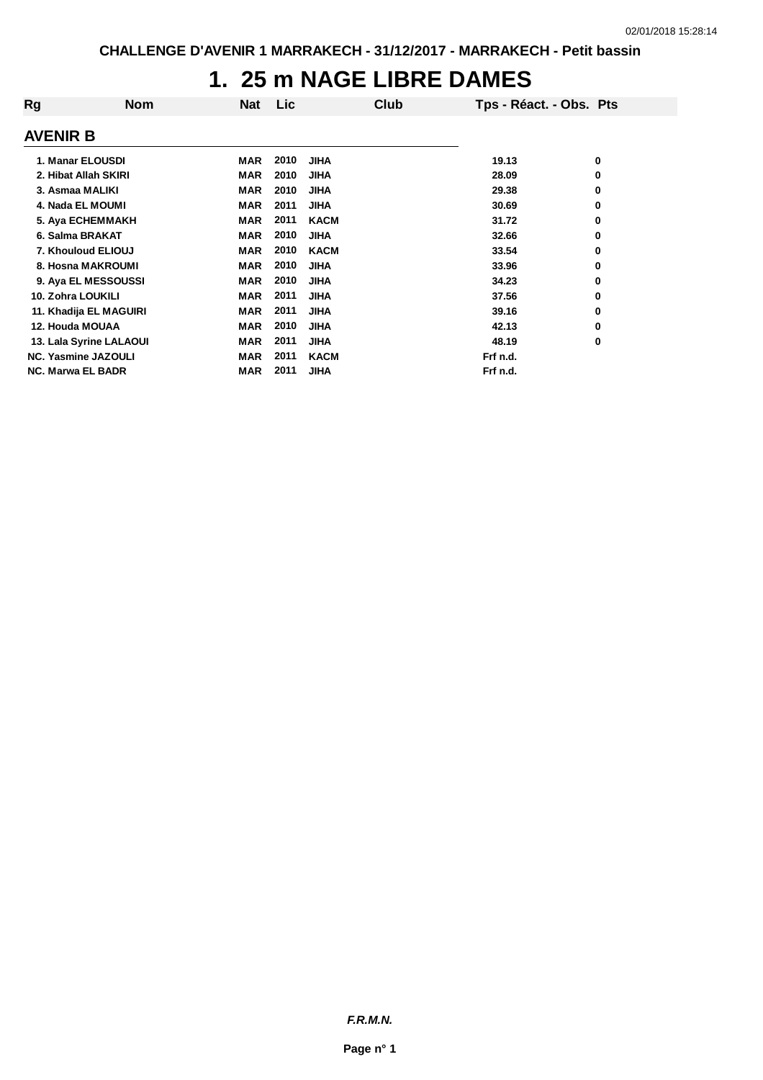## **1. 25 m NAGE LIBRE DAMES**

| Rg                | <b>Nom</b>                 | <b>Nat</b> | Lic  | Club        | Tps - Réact. - Obs. Pts |   |
|-------------------|----------------------------|------------|------|-------------|-------------------------|---|
| <b>AVENIR B</b>   |                            |            |      |             |                         |   |
|                   | 1. Manar ELOUSDI           | MAR        | 2010 | <b>JIHA</b> | 19.13                   | 0 |
|                   | 2. Hibat Allah SKIRI       | <b>MAR</b> | 2010 | <b>JIHA</b> | 28.09                   | 0 |
|                   | 3. Asmaa MALIKI            | <b>MAR</b> | 2010 | <b>JIHA</b> | 29.38                   | 0 |
|                   | 4. Nada EL MOUMI           | <b>MAR</b> | 2011 | <b>JIHA</b> | 30.69                   | 0 |
|                   | 5. Aya ECHEMMAKH           | <b>MAR</b> | 2011 | <b>KACM</b> | 31.72                   | 0 |
|                   | 6. Salma BRAKAT            | <b>MAR</b> | 2010 | <b>JIHA</b> | 32.66                   | 0 |
|                   | 7. Khouloud ELIOUJ         | <b>MAR</b> | 2010 | <b>KACM</b> | 33.54                   | 0 |
|                   | 8. Hosna MAKROUMI          | <b>MAR</b> | 2010 | <b>JIHA</b> | 33.96                   | 0 |
|                   | 9. Aya EL MESSOUSSI        | <b>MAR</b> | 2010 | <b>JIHA</b> | 34.23                   | 0 |
| 10. Zohra LOUKILI |                            | <b>MAR</b> | 2011 | <b>JIHA</b> | 37.56                   | 0 |
|                   | 11. Khadija EL MAGUIRI     | <b>MAR</b> | 2011 | <b>JIHA</b> | 39.16                   | 0 |
| 12. Houda MOUAA   |                            | MAR        | 2010 | <b>JIHA</b> | 42.13                   | 0 |
|                   | 13. Lala Syrine LALAOUI    | <b>MAR</b> | 2011 | <b>JIHA</b> | 48.19                   | 0 |
|                   | <b>NC. Yasmine JAZOULI</b> | <b>MAR</b> | 2011 | <b>KACM</b> | Frf n.d.                |   |
|                   | <b>NC. Marwa EL BADR</b>   | <b>MAR</b> | 2011 | JIHA        | Frf n.d.                |   |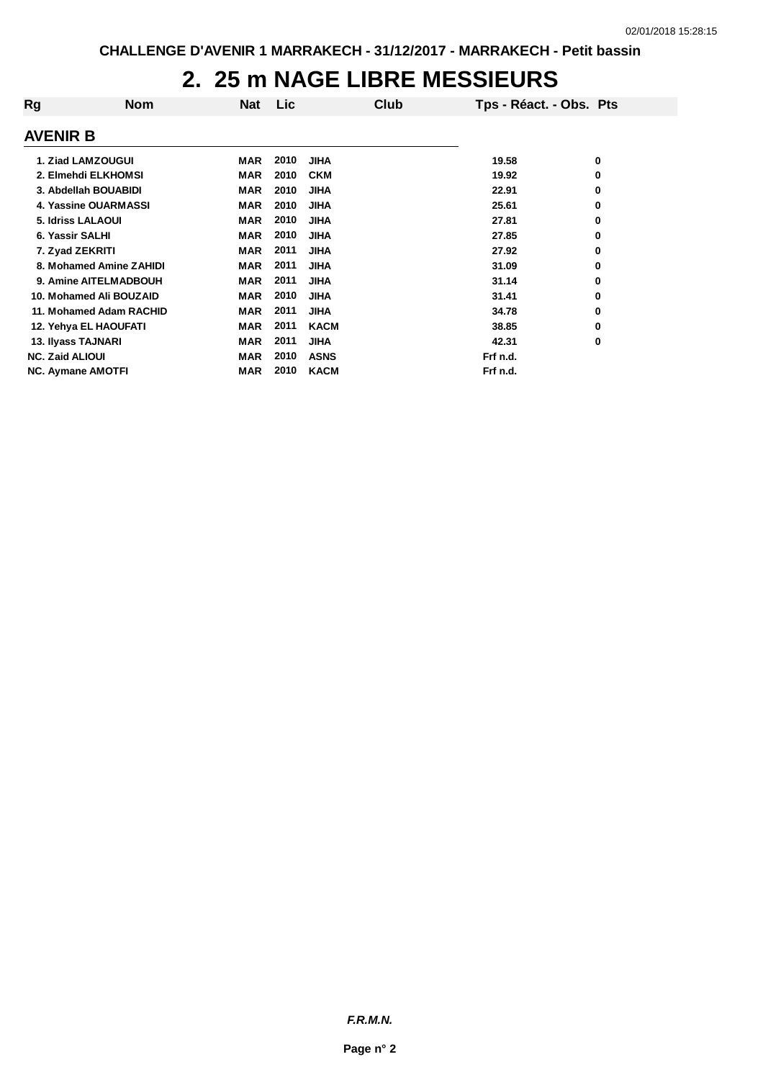## **2. 25 m NAGE LIBRE MESSIEURS**

| Rg                       | <b>Nom</b>               | <b>Nat</b> | Lic  | Club        | Tps - Réact. - Obs. Pts |   |
|--------------------------|--------------------------|------------|------|-------------|-------------------------|---|
| <b>AVENIR B</b>          |                          |            |      |             |                         |   |
|                          | 1. Ziad LAMZOUGUI        | MAR        | 2010 | <b>JIHA</b> | 19.58                   | 0 |
|                          | 2. Elmehdi ELKHOMSI      | MAR        | 2010 | <b>CKM</b>  | 19.92                   | 0 |
|                          | 3. Abdellah BOUABIDI     | MAR        | 2010 | <b>JIHA</b> | 22.91                   | 0 |
|                          | 4. Yassine OUARMASSI     | <b>MAR</b> | 2010 | <b>JIHA</b> | 25.61                   | 0 |
|                          | <b>5. Idriss LALAOUI</b> | <b>MAR</b> | 2010 | <b>JIHA</b> | 27.81                   | 0 |
| 6. Yassir SALHI          |                          | MAR        | 2010 | <b>JIHA</b> | 27.85                   | 0 |
| 7. Zyad ZEKRITI          |                          | <b>MAR</b> | 2011 | <b>JIHA</b> | 27.92                   | 0 |
|                          | 8. Mohamed Amine ZAHIDI  | <b>MAR</b> | 2011 | <b>JIHA</b> | 31.09                   | 0 |
|                          | 9. Amine AITELMADBOUH    | <b>MAR</b> | 2011 | <b>JIHA</b> | 31.14                   | 0 |
|                          | 10. Mohamed Ali BOUZAID  | <b>MAR</b> | 2010 | <b>JIHA</b> | 31.41                   | 0 |
|                          | 11. Mohamed Adam RACHID  | <b>MAR</b> | 2011 | <b>JIHA</b> | 34.78                   | 0 |
|                          | 12. Yehya EL HAOUFATI    | <b>MAR</b> | 2011 | <b>KACM</b> | 38.85                   | 0 |
| 13. Ilyass TAJNARI       |                          | <b>MAR</b> | 2011 | <b>JIHA</b> | 42.31                   | 0 |
| <b>NC. Zaid ALIOUI</b>   |                          | <b>MAR</b> | 2010 | <b>ASNS</b> | Frf n.d.                |   |
| <b>NC. Aymane AMOTFI</b> |                          | <b>MAR</b> | 2010 | <b>KACM</b> | Frf n.d.                |   |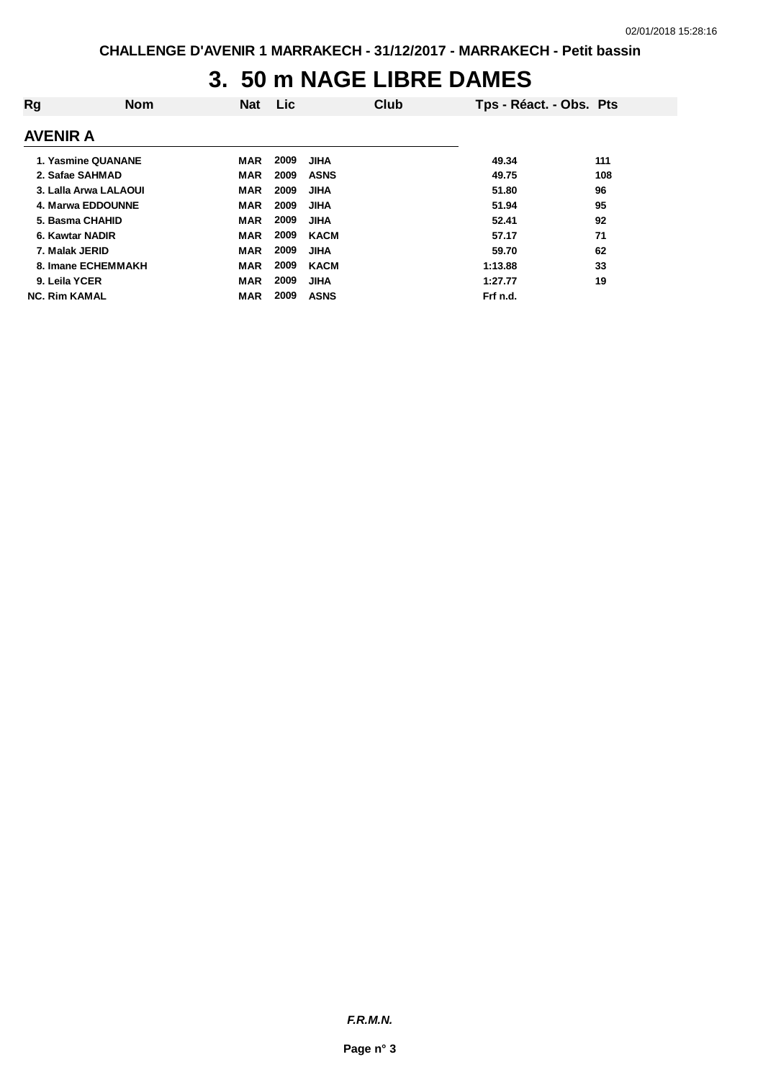## **3. 50 m NAGE LIBRE DAMES**

| Rg                    | <b>Nom</b> | <b>Nat</b> | <b>Lic</b> |             | Club | Tps - Réact. - Obs. Pts |     |
|-----------------------|------------|------------|------------|-------------|------|-------------------------|-----|
| <b>AVENIR A</b>       |            |            |            |             |      |                         |     |
| 1. Yasmine QUANANE    |            | <b>MAR</b> | 2009       | <b>JIHA</b> |      | 49.34                   | 111 |
| 2. Safae SAHMAD       |            | <b>MAR</b> | 2009       | <b>ASNS</b> |      | 49.75                   | 108 |
| 3. Lalla Arwa LALAOUI |            | <b>MAR</b> | 2009       | <b>JIHA</b> |      | 51.80                   | 96  |
| 4. Marwa EDDOUNNE     |            | <b>MAR</b> | 2009       | <b>JIHA</b> |      | 51.94                   | 95  |
| 5. Basma CHAHID       |            | <b>MAR</b> | 2009       | <b>JIHA</b> |      | 52.41                   | 92  |
| 6. Kawtar NADIR       |            | <b>MAR</b> | 2009       | <b>KACM</b> |      | 57.17                   | 71  |
| 7. Malak JERID        |            | <b>MAR</b> | 2009       | <b>JIHA</b> |      | 59.70                   | 62  |
| 8. Imane ECHEMMAKH    |            | <b>MAR</b> | 2009       | <b>KACM</b> |      | 1:13.88                 | 33  |
| 9. Leila YCER         |            | <b>MAR</b> | 2009       | <b>JIHA</b> |      | 1:27.77                 | 19  |
| <b>NC. Rim KAMAL</b>  |            | <b>MAR</b> | 2009       | <b>ASNS</b> |      | Frf n.d.                |     |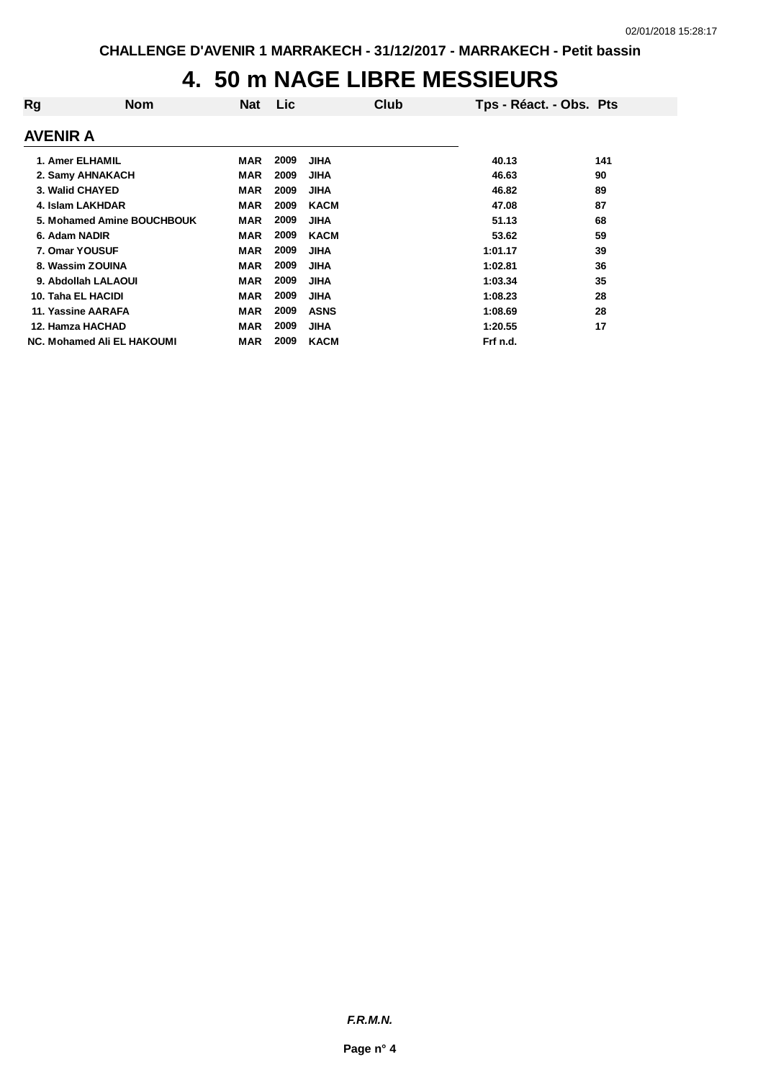# **4. 50 m NAGE LIBRE MESSIEURS**

| Rg                         | <b>Nom</b> | <b>Nat</b> | Lic  |             | Club | Tps - Réact. - Obs. Pts |     |
|----------------------------|------------|------------|------|-------------|------|-------------------------|-----|
| <b>AVENIR A</b>            |            |            |      |             |      |                         |     |
| 1. Amer ELHAMIL            |            | <b>MAR</b> | 2009 | <b>JIHA</b> |      | 40.13                   | 141 |
| 2. Samy AHNAKACH           |            | <b>MAR</b> | 2009 | <b>JIHA</b> |      | 46.63                   | 90  |
| 3. Walid CHAYED            |            | <b>MAR</b> | 2009 | <b>JIHA</b> |      | 46.82                   | 89  |
| 4. Islam LAKHDAR           |            | <b>MAR</b> | 2009 | <b>KACM</b> |      | 47.08                   | 87  |
| 5. Mohamed Amine BOUCHBOUK |            | <b>MAR</b> | 2009 | <b>JIHA</b> |      | 51.13                   | 68  |
| 6. Adam NADIR              |            | <b>MAR</b> | 2009 | <b>KACM</b> |      | 53.62                   | 59  |
| 7. Omar YOUSUF             |            | <b>MAR</b> | 2009 | <b>JIHA</b> |      | 1:01.17                 | 39  |
| 8. Wassim ZOUINA           |            | <b>MAR</b> | 2009 | <b>JIHA</b> |      | 1:02.81                 | 36  |
| 9. Abdollah LALAOUI        |            | <b>MAR</b> | 2009 | <b>JIHA</b> |      | 1:03.34                 | 35  |
| 10. Taha EL HACIDI         |            | <b>MAR</b> | 2009 | <b>JIHA</b> |      | 1:08.23                 | 28  |
| 11. Yassine AARAFA         |            | <b>MAR</b> | 2009 | <b>ASNS</b> |      | 1:08.69                 | 28  |
| 12. Hamza HACHAD           |            | <b>MAR</b> | 2009 | <b>JIHA</b> |      | 1:20.55                 | 17  |
| NC. Mohamed Ali EL HAKOUMI |            | <b>MAR</b> | 2009 | <b>KACM</b> |      | Frf n.d.                |     |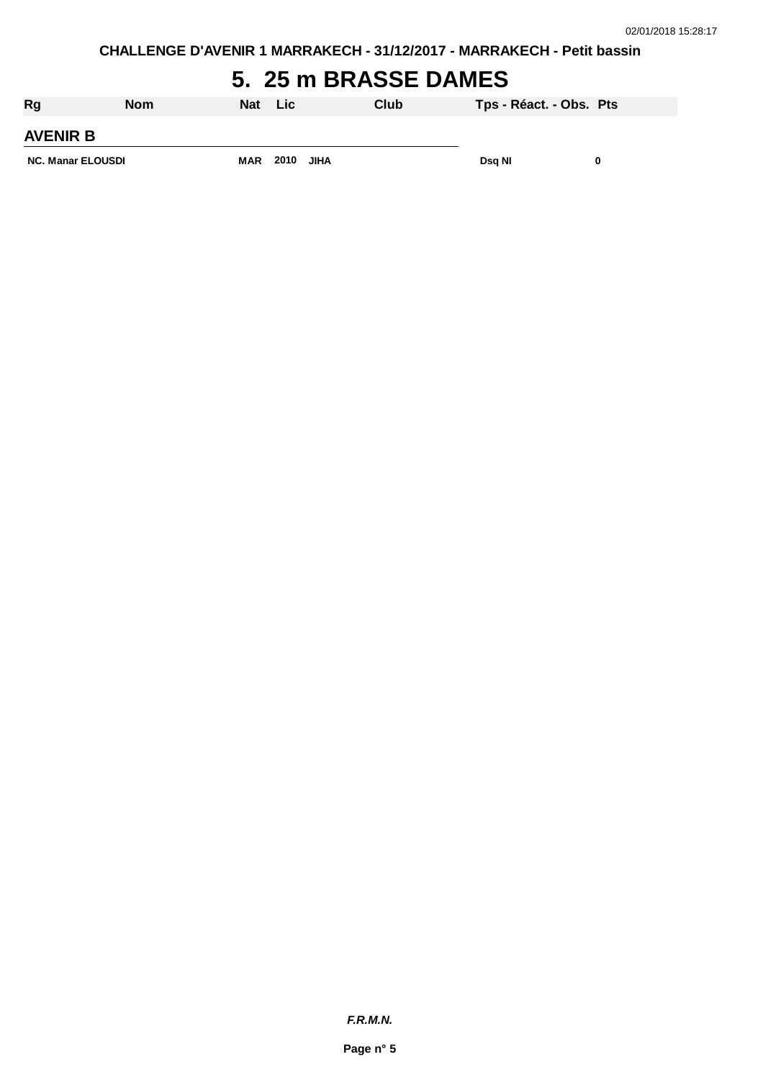## **5. 25 m BRASSE DAMES**

| Rg                       | <b>Nom</b> | Nat        | <b>Lic</b> |      | Club | Tps - Réact. - Obs. Pts |  |
|--------------------------|------------|------------|------------|------|------|-------------------------|--|
| <b>AVENIR B</b>          |            |            |            |      |      |                         |  |
| <b>NC. Manar ELOUSDI</b> |            | <b>MAR</b> | 2010       | JIHA |      | Dsg NI                  |  |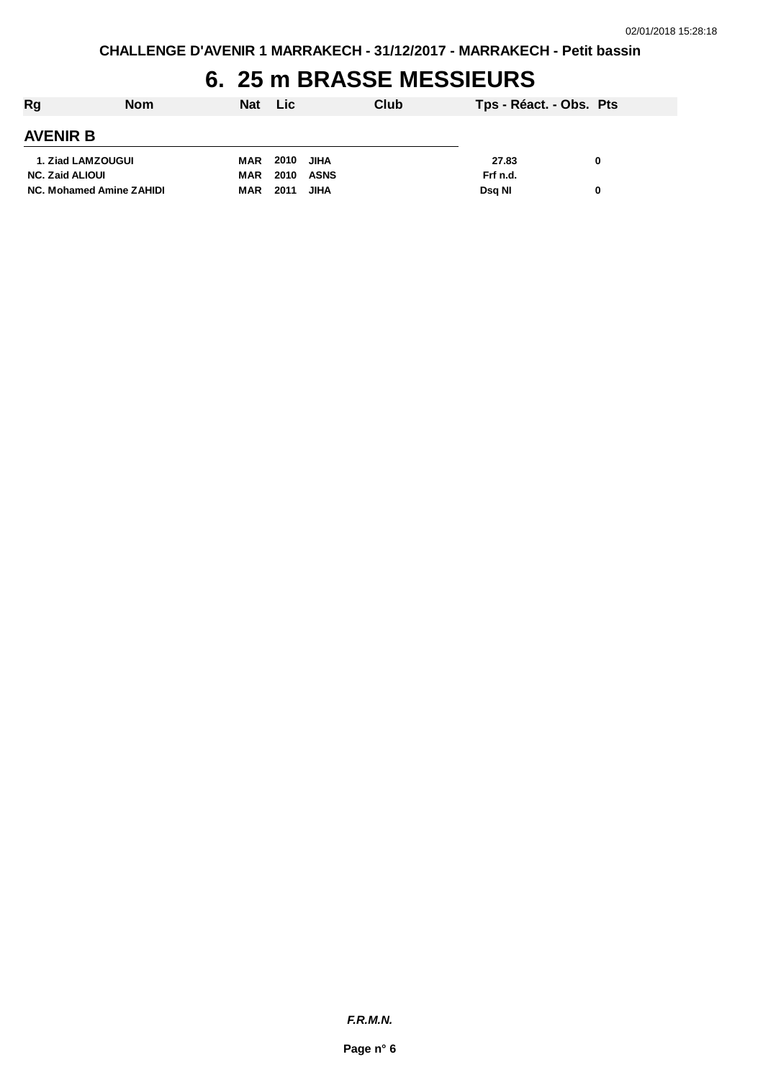## **6. 25 m BRASSE MESSIEURS**

| Rg                       | <b>Nom</b> | Nat Lic |      |             | Club | Tps - Réact. - Obs. Pts |   |
|--------------------------|------------|---------|------|-------------|------|-------------------------|---|
| <b>AVENIR B</b>          |            |         |      |             |      |                         |   |
| 1. Ziad LAMZOUGUI        |            | MAR     | 2010 | <b>JIHA</b> |      | 27.83                   | 0 |
| <b>NC. Zaid ALIOUI</b>   |            | MAR     | 2010 | ASNS        |      | Frf n.d.                |   |
| NC. Mohamed Amine ZAHIDI |            | MAR     | 2011 | <b>JIHA</b> |      | Dsa NI                  | 0 |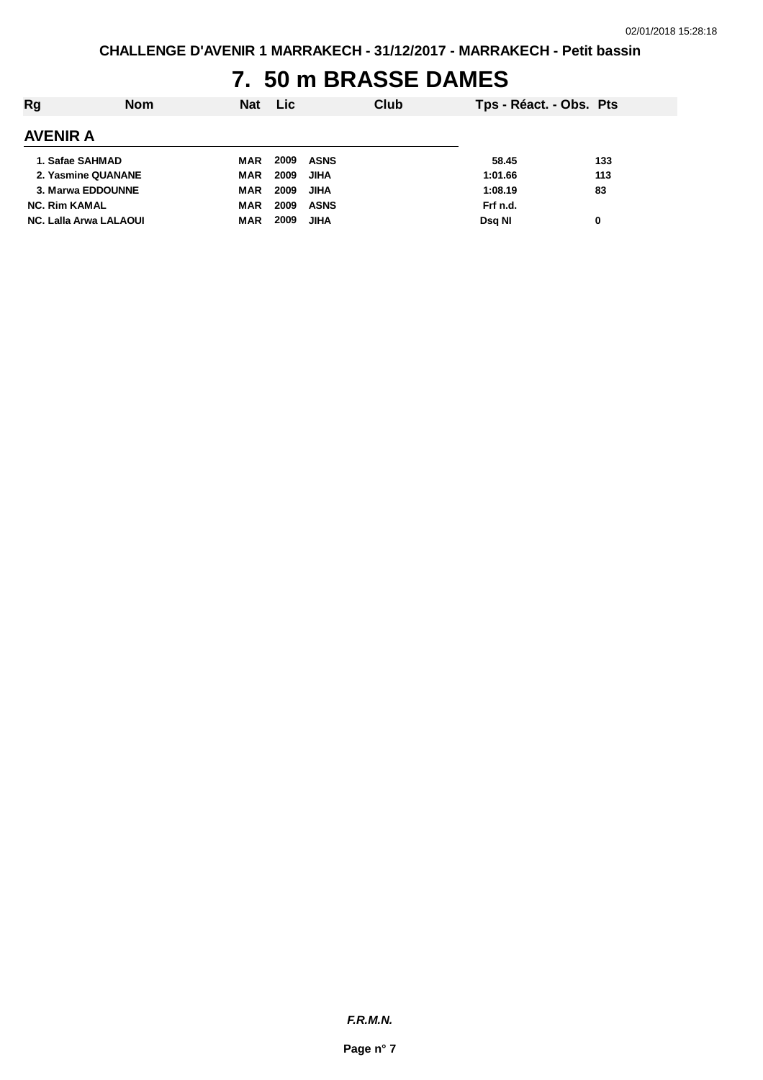## **7. 50 m BRASSE DAMES**

| Rg                            | <b>Nom</b> | <b>Nat</b> | <b>Lic</b> |             | Club | Tps - Réact. - Obs. Pts |     |
|-------------------------------|------------|------------|------------|-------------|------|-------------------------|-----|
| <b>AVENIR A</b>               |            |            |            |             |      |                         |     |
| 1. Safae SAHMAD               |            | MAR        | 2009       | ASNS        |      | 58.45                   | 133 |
| 2. Yasmine QUANANE            |            | <b>MAR</b> | 2009       | <b>JIHA</b> |      | 1:01.66                 | 113 |
| 3. Marwa EDDOUNNE             |            | <b>MAR</b> | 2009       | JIHA        |      | 1:08.19                 | 83  |
| <b>NC. Rim KAMAL</b>          |            | <b>MAR</b> | 2009       | <b>ASNS</b> |      | Frf n.d.                |     |
| <b>NC. Lalla Arwa LALAOUI</b> |            | <b>MAR</b> | 2009       | <b>JIHA</b> |      | Dsg NI                  | 0   |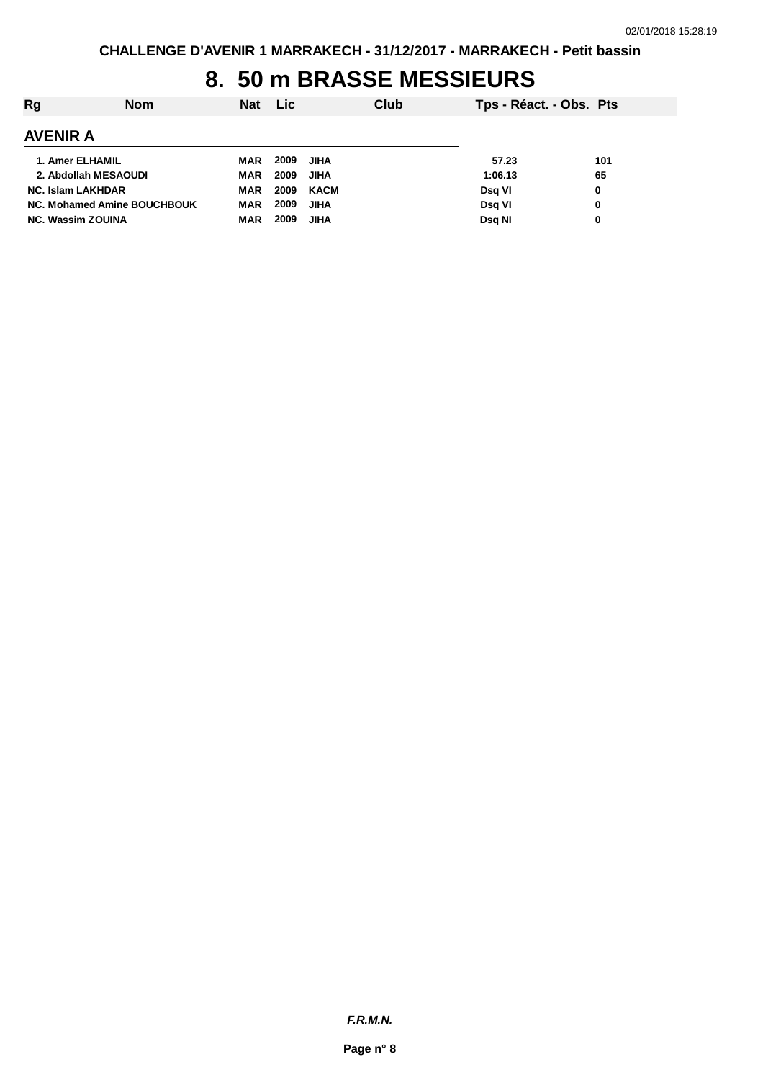## **8. 50 m BRASSE MESSIEURS**

| Rg                          | <b>Nom</b> | <b>Nat</b> | Lic. |             | Club | Tps - Réact. - Obs. Pts |     |
|-----------------------------|------------|------------|------|-------------|------|-------------------------|-----|
| <b>AVENIR A</b>             |            |            |      |             |      |                         |     |
| 1. Amer ELHAMIL             |            | MAR        | 2009 | JIHA        |      | 57.23                   | 101 |
| 2. Abdollah MESAOUDI        |            | <b>MAR</b> | 2009 | <b>JIHA</b> |      | 1:06.13                 | 65  |
| <b>NC. Islam LAKHDAR</b>    |            | MAR        | 2009 | <b>KACM</b> |      | Dsg VI                  | 0   |
| NC. Mohamed Amine BOUCHBOUK |            | <b>MAR</b> | 2009 | <b>JIHA</b> |      | Dsg VI                  | 0   |
| <b>NC. Wassim ZOUINA</b>    |            | <b>MAR</b> | 2009 | JIHA        |      | Dsg NI                  | 0   |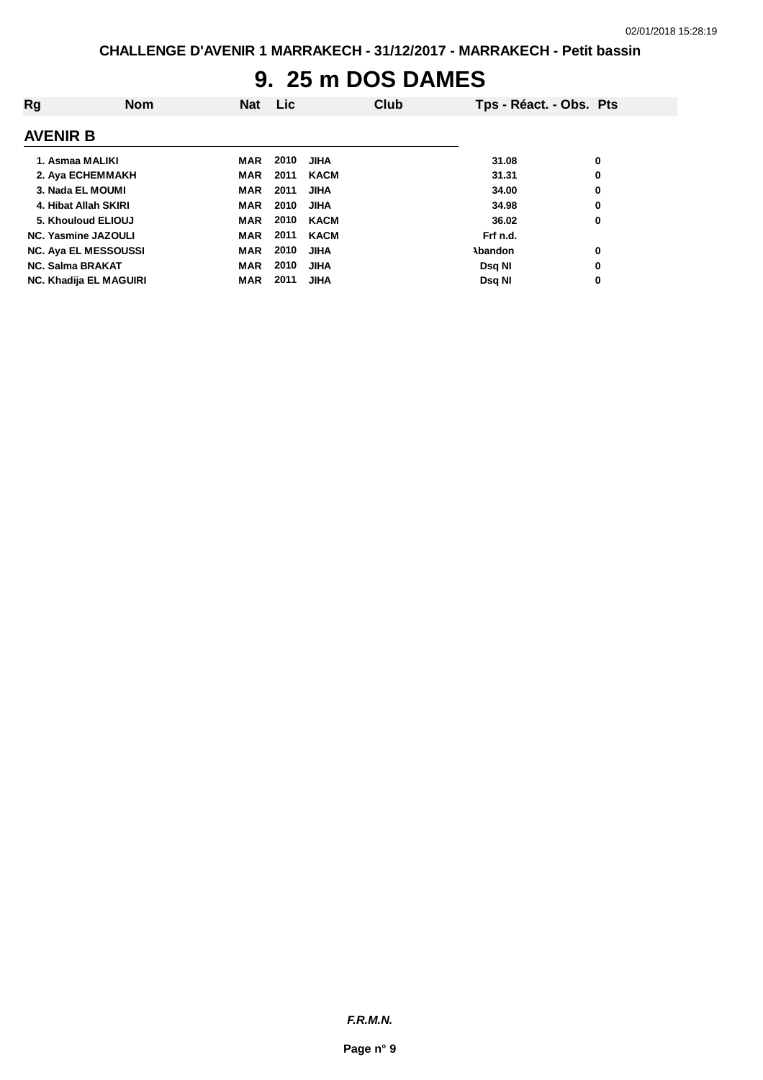# **9. 25 m DOS DAMES**

| Rg                      | <b>Nom</b>                    | <b>Nat</b> | Lic. |             | Club | Tps - Réact. - Obs. Pts |   |
|-------------------------|-------------------------------|------------|------|-------------|------|-------------------------|---|
| <b>AVENIR B</b>         |                               |            |      |             |      |                         |   |
|                         | 1. Asmaa MALIKI               | MAR        | 2010 | <b>JIHA</b> |      | 31.08                   | 0 |
|                         | 2. Aya ECHEMMAKH              | <b>MAR</b> | 2011 | <b>KACM</b> |      | 31.31                   | 0 |
|                         | 3. Nada EL MOUMI              | <b>MAR</b> | 2011 | <b>JIHA</b> |      | 34.00                   | 0 |
|                         | 4. Hibat Allah SKIRI          | <b>MAR</b> | 2010 | <b>JIHA</b> |      | 34.98                   | 0 |
|                         | 5. Khouloud ELIOUJ            | <b>MAR</b> | 2010 | <b>KACM</b> |      | 36.02                   | 0 |
|                         | <b>NC. Yasmine JAZOULI</b>    | <b>MAR</b> | 2011 | <b>KACM</b> |      | Frf n.d.                |   |
|                         | <b>NC. Aya EL MESSOUSSI</b>   | <b>MAR</b> | 2010 | <b>JIHA</b> |      | Abandon                 | 0 |
| <b>NC. Salma BRAKAT</b> |                               | <b>MAR</b> | 2010 | <b>JIHA</b> |      | Dsq NI                  | 0 |
|                         | <b>NC. Khadija EL MAGUIRI</b> | <b>MAR</b> | 2011 | <b>JIHA</b> |      | Dsq NI                  | 0 |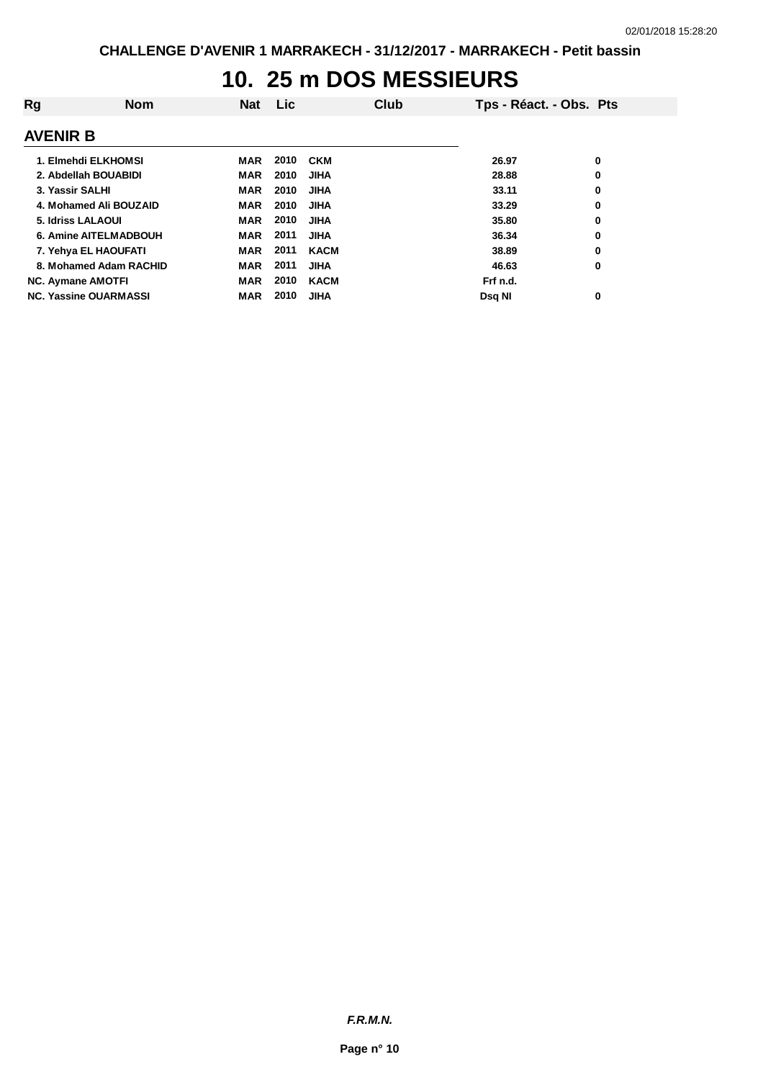## **10. 25 m DOS MESSIEURS**

| Rg                           | <b>Nom</b> | <b>Nat</b> | Lic. |             | Club | Tps - Réact. - Obs. Pts |   |
|------------------------------|------------|------------|------|-------------|------|-------------------------|---|
| <b>AVENIR B</b>              |            |            |      |             |      |                         |   |
| 1. Elmehdi ELKHOMSI          |            | MAR        | 2010 | <b>CKM</b>  |      | 26.97                   | 0 |
| 2. Abdellah BOUABIDI         |            | <b>MAR</b> | 2010 | <b>JIHA</b> |      | 28.88                   | 0 |
| 3. Yassir SALHI              |            | <b>MAR</b> | 2010 | <b>JIHA</b> |      | 33.11                   | 0 |
| 4. Mohamed Ali BOUZAID       |            | <b>MAR</b> | 2010 | <b>JIHA</b> |      | 33.29                   | 0 |
| 5. Idriss LALAOUI            |            | <b>MAR</b> | 2010 | <b>JIHA</b> |      | 35.80                   | 0 |
| <b>6. Amine AITELMADBOUH</b> |            | <b>MAR</b> | 2011 | JIHA        |      | 36.34                   | 0 |
| 7. Yehya EL HAOUFATI         |            | <b>MAR</b> | 2011 | <b>KACM</b> |      | 38.89                   | 0 |
| 8. Mohamed Adam RACHID       |            | <b>MAR</b> | 2011 | <b>JIHA</b> |      | 46.63                   | 0 |
| <b>NC. Aymane AMOTFI</b>     |            | <b>MAR</b> | 2010 | <b>KACM</b> |      | Frf n.d.                |   |
| <b>NC. Yassine OUARMASSI</b> |            | <b>MAR</b> | 2010 | <b>JIHA</b> |      | Dsg NI                  | 0 |

*F.R.M.N.*

**Page n° 10**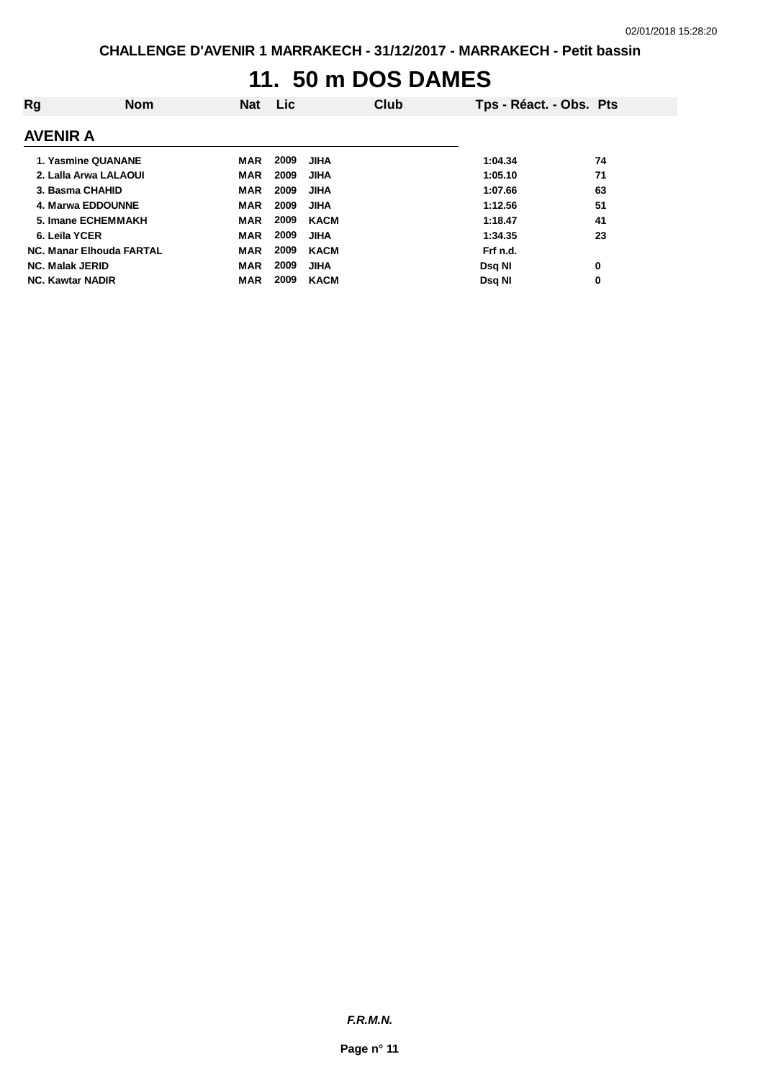## **11. 50 m DOS DAMES**

| Rg                              | <b>Nom</b> | <b>Nat</b> | Lic. |             | Club | Tps - Réact. - Obs. Pts |    |
|---------------------------------|------------|------------|------|-------------|------|-------------------------|----|
| <b>AVENIR A</b>                 |            |            |      |             |      |                         |    |
| 1. Yasmine QUANANE              |            | MAR        | 2009 | <b>JIHA</b> |      | 1:04.34                 | 74 |
| 2. Lalla Arwa LALAOUI           |            | <b>MAR</b> | 2009 | <b>JIHA</b> |      | 1:05.10                 | 71 |
| 3. Basma CHAHID                 |            | <b>MAR</b> | 2009 | <b>JIHA</b> |      | 1:07.66                 | 63 |
| 4. Marwa EDDOUNNE               |            | <b>MAR</b> | 2009 | <b>JIHA</b> |      | 1:12.56                 | 51 |
| 5. Imane ECHEMMAKH              |            | <b>MAR</b> | 2009 | <b>KACM</b> |      | 1:18.47                 | 41 |
| 6. Leila YCER                   |            | <b>MAR</b> | 2009 | <b>JIHA</b> |      | 1:34.35                 | 23 |
| <b>NC. Manar Elhouda FARTAL</b> |            | <b>MAR</b> | 2009 | <b>KACM</b> |      | Frf n.d.                |    |
| <b>NC. Malak JERID</b>          |            | <b>MAR</b> | 2009 | <b>JIHA</b> |      | Dsa NI                  | 0  |
| <b>NC. Kawtar NADIR</b>         |            | <b>MAR</b> | 2009 | <b>KACM</b> |      | Dsq NI                  | 0  |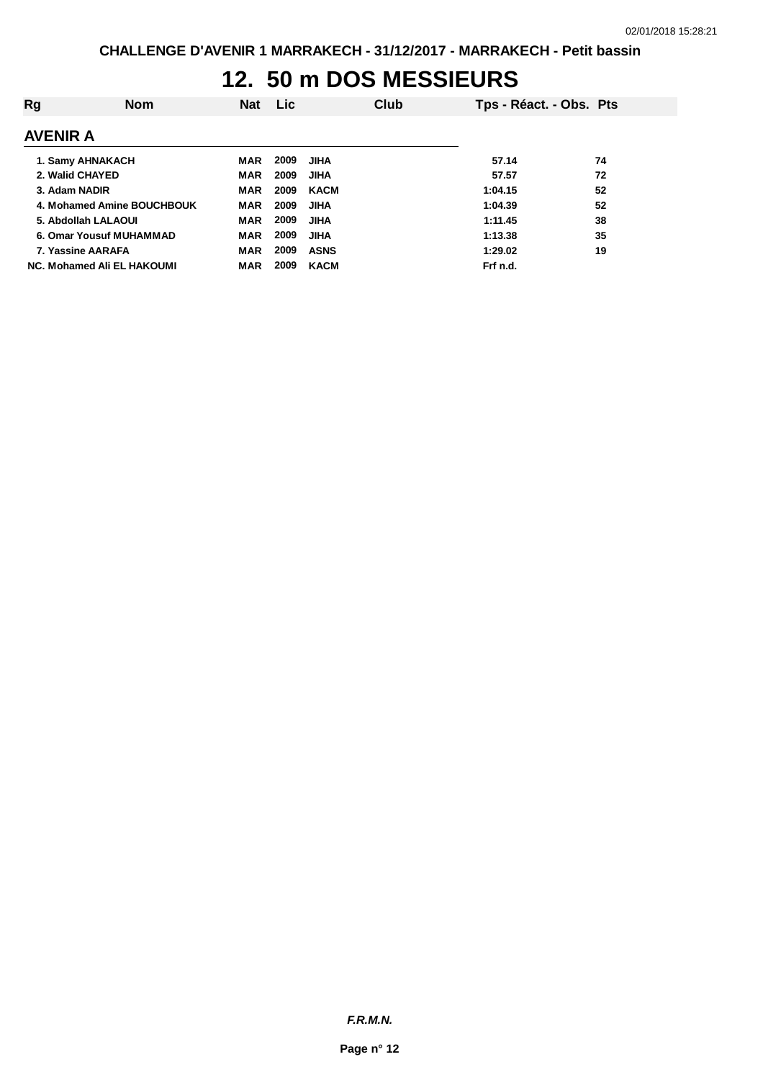## **12. 50 m DOS MESSIEURS**

| Rg                         | <b>Nom</b> | Nat        | <b>Lic</b> |             | Club | Tps - Réact. - Obs. Pts |    |
|----------------------------|------------|------------|------------|-------------|------|-------------------------|----|
| <b>AVENIR A</b>            |            |            |            |             |      |                         |    |
| 1. Samy AHNAKACH           |            | MAR        | 2009       | JIHA        |      | 57.14                   | 74 |
| 2. Walid CHAYED            |            | <b>MAR</b> | 2009       | JIHA        |      | 57.57                   | 72 |
| 3. Adam NADIR              |            | <b>MAR</b> | 2009       | <b>KACM</b> |      | 1:04.15                 | 52 |
| 4. Mohamed Amine BOUCHBOUK |            | <b>MAR</b> | 2009       | <b>JIHA</b> |      | 1:04.39                 | 52 |
| 5. Abdollah LALAOUI        |            | <b>MAR</b> | 2009       | <b>JIHA</b> |      | 1:11.45                 | 38 |
| 6. Omar Yousuf MUHAMMAD    |            | <b>MAR</b> | 2009       | <b>JIHA</b> |      | 1:13.38                 | 35 |
| 7. Yassine AARAFA          |            | <b>MAR</b> | 2009       | <b>ASNS</b> |      | 1:29.02                 | 19 |
| NC. Mohamed Ali EL HAKOUMI |            | <b>MAR</b> | 2009       | <b>KACM</b> |      | Frf n.d.                |    |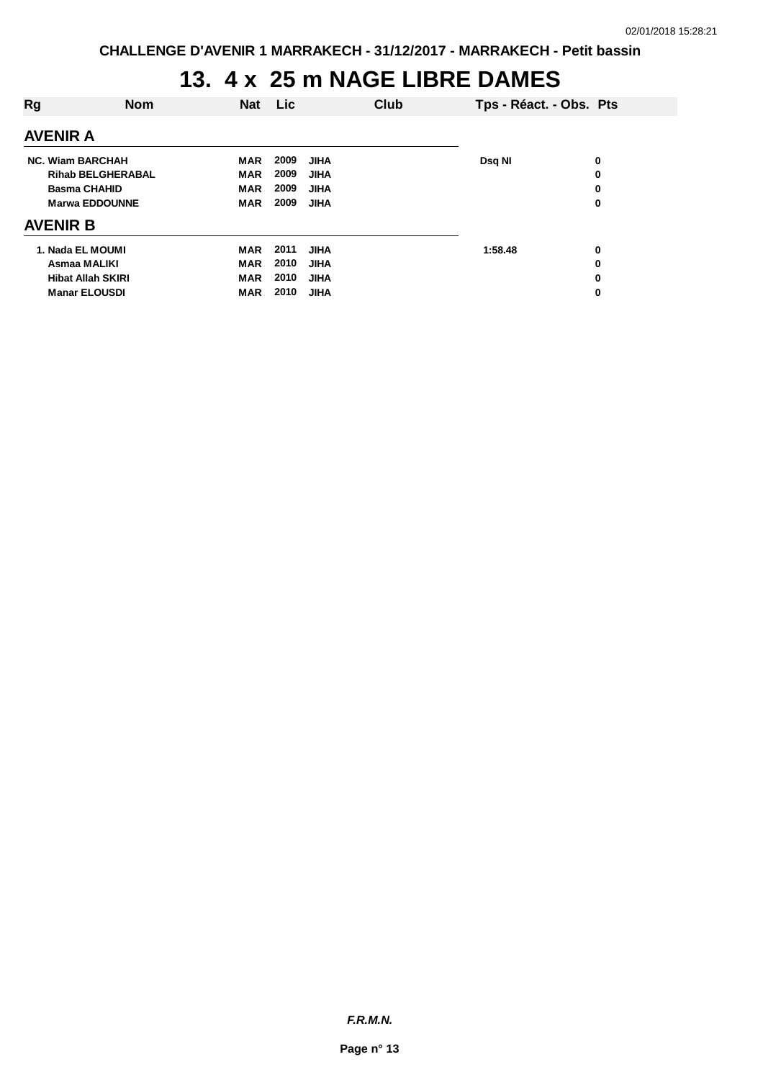# **13. 4 x 25 m NAGE LIBRE DAMES**

| <b>Rg</b>                | <b>Nom</b> | <b>Nat</b> | Lic  |             | Club | Tps - Réact. - Obs. Pts |   |
|--------------------------|------------|------------|------|-------------|------|-------------------------|---|
| <b>AVENIR A</b>          |            |            |      |             |      |                         |   |
| <b>NC. Wiam BARCHAH</b>  |            | MAR        | 2009 | <b>JIHA</b> |      | Dsq NI                  | 0 |
| <b>Rihab BELGHERABAL</b> |            | <b>MAR</b> | 2009 | <b>JIHA</b> |      |                         | 0 |
| <b>Basma CHAHID</b>      |            | <b>MAR</b> | 2009 | <b>JIHA</b> |      |                         | 0 |
| <b>Marwa EDDOUNNE</b>    |            | <b>MAR</b> | 2009 | <b>JIHA</b> |      |                         | 0 |
| <b>AVENIR B</b>          |            |            |      |             |      |                         |   |
| 1. Nada EL MOUMI         |            | <b>MAR</b> | 2011 | <b>JIHA</b> |      | 1:58.48                 | 0 |
| Asmaa MALIKI             |            | <b>MAR</b> | 2010 | <b>JIHA</b> |      |                         | 0 |
| <b>Hibat Allah SKIRI</b> |            | <b>MAR</b> | 2010 | <b>JIHA</b> |      |                         | 0 |
| <b>Manar ELOUSDI</b>     |            | <b>MAR</b> | 2010 | <b>JIHA</b> |      |                         | 0 |